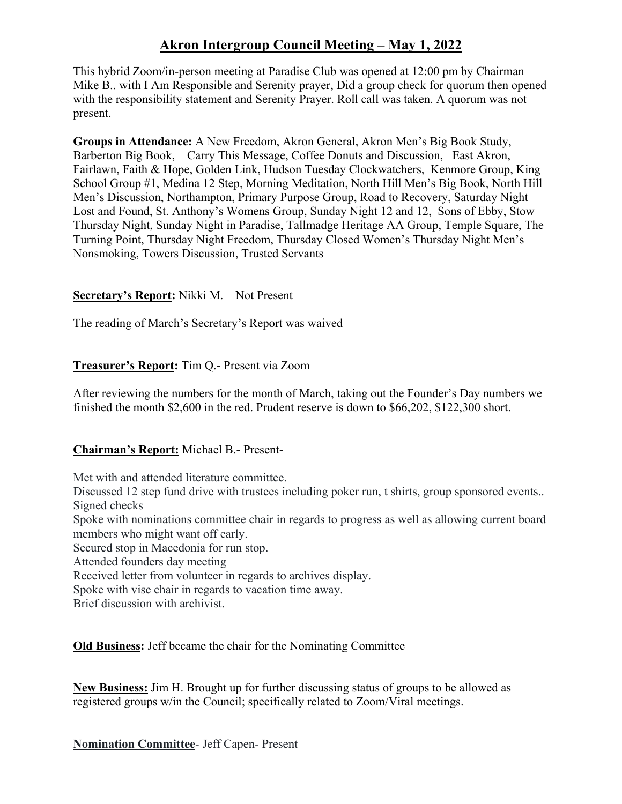# **Akron Intergroup Council Meeting – May 1, 2022**

This hybrid Zoom/in-person meeting at Paradise Club was opened at 12:00 pm by Chairman Mike B.. with I Am Responsible and Serenity prayer, Did a group check for quorum then opened with the responsibility statement and Serenity Prayer. Roll call was taken. A quorum was not present.

**Groups in Attendance:** A New Freedom, Akron General, Akron Men's Big Book Study, Barberton Big Book, Carry This Message, Coffee Donuts and Discussion, East Akron, Fairlawn, Faith & Hope, Golden Link, Hudson Tuesday Clockwatchers, Kenmore Group, King School Group #1, Medina 12 Step, Morning Meditation, North Hill Men's Big Book, North Hill Men's Discussion, Northampton, Primary Purpose Group, Road to Recovery, Saturday Night Lost and Found, St. Anthony's Womens Group, Sunday Night 12 and 12, Sons of Ebby, Stow Thursday Night, Sunday Night in Paradise, Tallmadge Heritage AA Group, Temple Square, The Turning Point, Thursday Night Freedom, Thursday Closed Women's Thursday Night Men's Nonsmoking, Towers Discussion, Trusted Servants

# **Secretary's Report:** Nikki M. – Not Present

The reading of March's Secretary's Report was waived

# **Treasurer's Report:** Tim Q.- Present via Zoom

After reviewing the numbers for the month of March, taking out the Founder's Day numbers we finished the month \$2,600 in the red. Prudent reserve is down to \$66,202, \$122,300 short.

# **Chairman's Report:** Michael B.- Present-

Met with and attended literature committee. Discussed 12 step fund drive with trustees including poker run, t shirts, group sponsored events.. Signed checks Spoke with nominations committee chair in regards to progress as well as allowing current board members who might want off early. Secured stop in Macedonia for run stop. Attended founders day meeting Received letter from volunteer in regards to archives display. Spoke with vise chair in regards to vacation time away. Brief discussion with archivist.

**Old Business:** Jeff became the chair for the Nominating Committee

**New Business:** Jim H. Brought up for further discussing status of groups to be allowed as registered groups w/in the Council; specifically related to Zoom/Viral meetings.

**Nomination Committee**- Jeff Capen- Present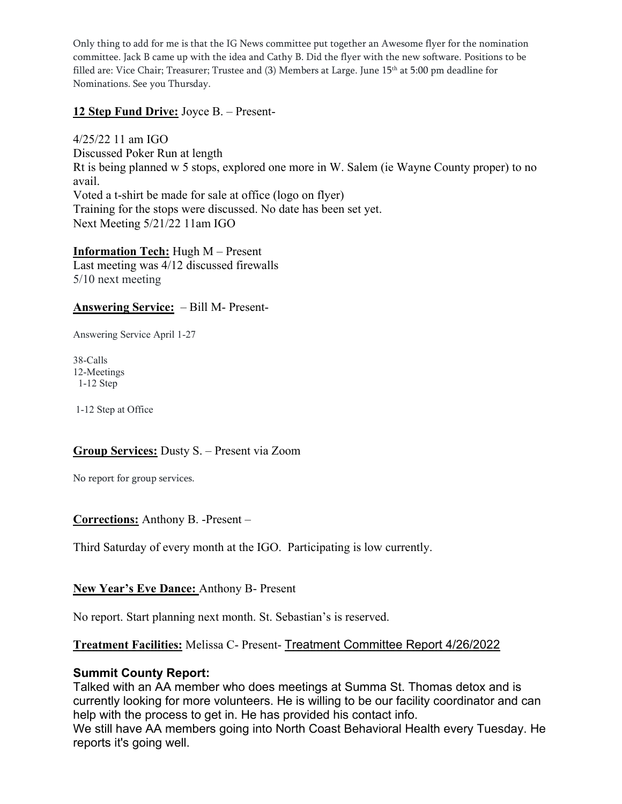Only thing to add for me is that the IG News committee put together an Awesome flyer for the nomination committee. Jack B came up with the idea and Cathy B. Did the flyer with the new software. Positions to be filled are: Vice Chair; Treasurer; Trustee and (3) Members at Large. June 15th at 5:00 pm deadline for Nominations. See you Thursday.

#### **12 Step Fund Drive:** Joyce B. – Present-

4/25/22 11 am IGO Discussed Poker Run at length Rt is being planned w 5 stops, explored one more in W. Salem (ie Wayne County proper) to no avail. Voted a t-shirt be made for sale at office (logo on flyer) Training for the stops were discussed. No date has been set yet. Next Meeting 5/21/22 11am IGO

**Information Tech:** Hugh M – Present Last meeting was 4/12 discussed firewalls 5/10 next meeting

#### **Answering Service:** – Bill M- Present-

Answering Service April 1-27

38-Calls 12-Meetings 1-12 Step

1-12 Step at Office

#### **Group Services:** Dusty S. – Present via Zoom

No report for group services.

#### **Corrections:** Anthony B. -Present –

Third Saturday of every month at the IGO. Participating is low currently.

#### **New Year's Eve Dance:** Anthony B- Present

No report. Start planning next month. St. Sebastian's is reserved.

#### **Treatment Facilities:** Melissa C- Present- Treatment Committee Report 4/26/2022

#### **Summit County Report:**

Talked with an AA member who does meetings at Summa St. Thomas detox and is currently looking for more volunteers. He is willing to be our facility coordinator and can help with the process to get in. He has provided his contact info.

We still have AA members going into North Coast Behavioral Health every Tuesday. He reports it's going well.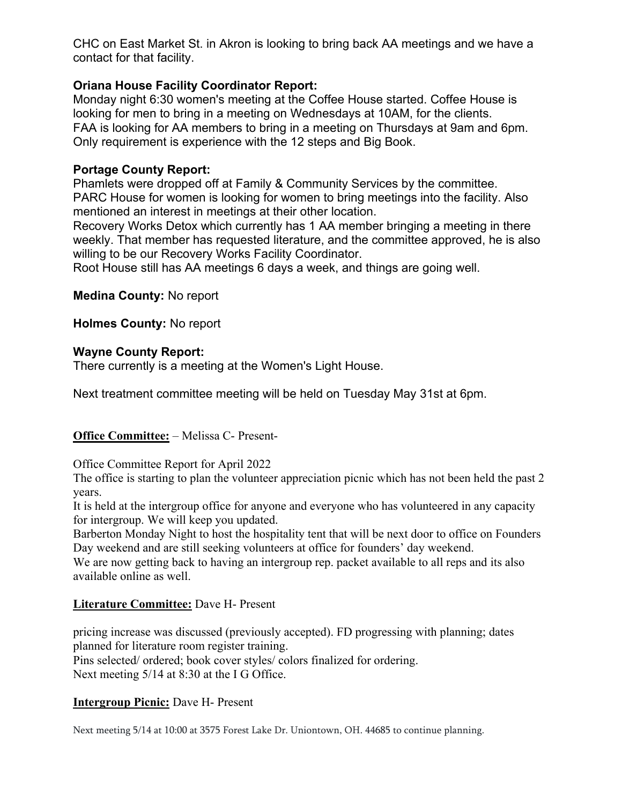CHC on East Market St. in Akron is looking to bring back AA meetings and we have a contact for that facility.

# **Oriana House Facility Coordinator Report:**

Monday night 6:30 women's meeting at the Coffee House started. Coffee House is looking for men to bring in a meeting on Wednesdays at 10AM, for the clients. FAA is looking for AA members to bring in a meeting on Thursdays at 9am and 6pm. Only requirement is experience with the 12 steps and Big Book.

# **Portage County Report:**

Phamlets were dropped off at Family & Community Services by the committee. PARC House for women is looking for women to bring meetings into the facility. Also mentioned an interest in meetings at their other location.

Recovery Works Detox which currently has 1 AA member bringing a meeting in there weekly. That member has requested literature, and the committee approved, he is also willing to be our Recovery Works Facility Coordinator.

Root House still has AA meetings 6 days a week, and things are going well.

**Medina County:** No report

**Holmes County:** No report

# **Wayne County Report:**

There currently is a meeting at the Women's Light House.

Next treatment committee meeting will be held on Tuesday May 31st at 6pm.

# **Office Committee:** – Melissa C- Present-

Office Committee Report for April 2022

The office is starting to plan the volunteer appreciation picnic which has not been held the past 2 years.

It is held at the intergroup office for anyone and everyone who has volunteered in any capacity for intergroup. We will keep you updated.

Barberton Monday Night to host the hospitality tent that will be next door to office on Founders Day weekend and are still seeking volunteers at office for founders' day weekend.

We are now getting back to having an intergroup rep. packet available to all reps and its also available online as well.

# **Literature Committee:** Dave H- Present

pricing increase was discussed (previously accepted). FD progressing with planning; dates planned for literature room register training.

Pins selected/ ordered; book cover styles/ colors finalized for ordering. Next meeting  $5/14$  at 8:30 at the I G Office.

# **Intergroup Picnic:** Dave H- Present

Next meeting 5/14 at 10:00 at 3575 Forest Lake Dr. Uniontown, OH. 44685 to continue planning.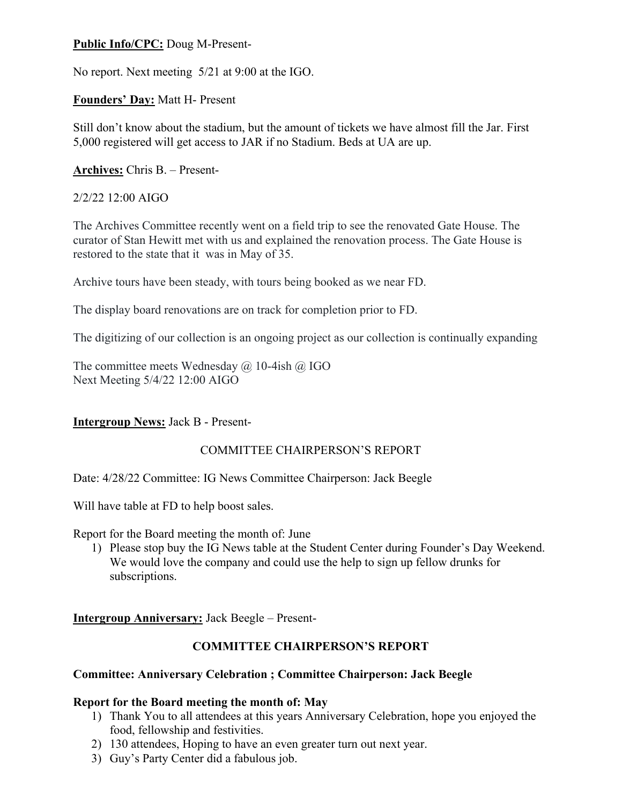#### **Public Info/CPC:** Doug M-Present-

No report. Next meeting 5/21 at 9:00 at the IGO.

#### **Founders' Day:** Matt H- Present

Still don't know about the stadium, but the amount of tickets we have almost fill the Jar. First 5,000 registered will get access to JAR if no Stadium. Beds at UA are up.

#### **Archives:** Chris B. – Present-

#### 2/2/22 12:00 AIGO

The Archives Committee recently went on a field trip to see the renovated Gate House. The curator of Stan Hewitt met with us and explained the renovation process. The Gate House is restored to the state that it was in May of 35.

Archive tours have been steady, with tours being booked as we near FD.

The display board renovations are on track for completion prior to FD.

The digitizing of our collection is an ongoing project as our collection is continually expanding

The committee meets Wednesday  $\omega$  10-4ish  $\omega$  IGO Next Meeting 5/4/22 12:00 AIGO

# **Intergroup News:** Jack B - Present-

# COMMITTEE CHAIRPERSON'S REPORT

Date: 4/28/22 Committee: IG News Committee Chairperson: Jack Beegle

Will have table at FD to help boost sales.

Report for the Board meeting the month of: June

1) Please stop buy the IG News table at the Student Center during Founder's Day Weekend. We would love the company and could use the help to sign up fellow drunks for subscriptions.

**Intergroup Anniversary:** Jack Beegle – Present-

# **COMMITTEE CHAIRPERSON'S REPORT**

#### **Committee: Anniversary Celebration ; Committee Chairperson: Jack Beegle**

#### **Report for the Board meeting the month of: May**

- 1) Thank You to all attendees at this years Anniversary Celebration, hope you enjoyed the food, fellowship and festivities.
- 2) 130 attendees, Hoping to have an even greater turn out next year.
- 3) Guy's Party Center did a fabulous job.